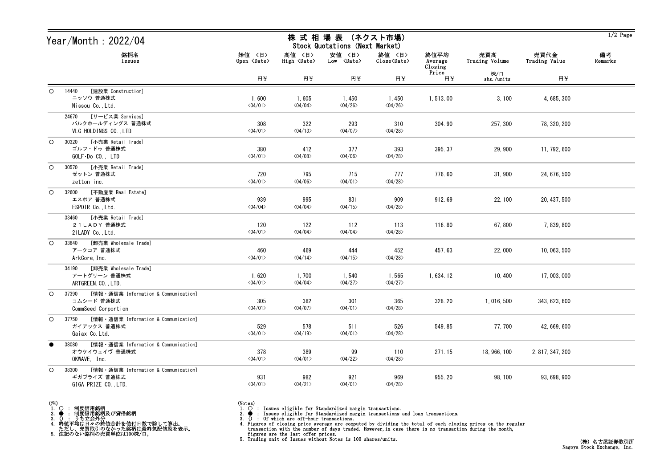| Year/Month: $2022/04$ |                                                                                      | 株 式 相 場 表 (ネクスト市場)<br>Stock Quotations (Next Market) |                                  |                                  |                                   |                            |                       |                       | $1/2$ Page    |
|-----------------------|--------------------------------------------------------------------------------------|------------------------------------------------------|----------------------------------|----------------------------------|-----------------------------------|----------------------------|-----------------------|-----------------------|---------------|
|                       | 銘柄名<br>Issues                                                                        | 始値 〈日〉<br>Open <date></date>                         | 高値 〈日〉<br>High <date></date>     | 安値 〈日〉<br>Low <date></date>      | 終値 〈日〉<br>Close <date></date>     | 終値平均<br>Average<br>Closing | 売買高<br>Trading Volume | 売買代金<br>Trading Value | 備考<br>Remarks |
|                       |                                                                                      | 円半                                                   | 円半                               | 円半                               | 円半                                | Price<br>円半                | 株/口<br>shs./units     | 円半                    |               |
| $\circ$               | [建設業 Construction]<br>14440<br>ニッソウ 普通株式<br>Nissou Co., Ltd.                         | 1,600<br>$\langle 04/01 \rangle$                     | 1,605<br>$\langle 04/04 \rangle$ | 1,450<br>$\langle 04/26 \rangle$ | 1, 450<br>$\langle 04/26 \rangle$ | 1,513.00                   | 3,100                 | 4, 685, 300           |               |
|                       | [サービス業 Services]<br>24670<br>バルクホールディングス 普通株式<br>VLC HOLDINGS CO., LTD.              | 308<br>$\langle 04/01 \rangle$                       | 322<br>$\langle 04/13 \rangle$   | 293<br>$\langle 04/07 \rangle$   | 310<br>$\langle 04/28 \rangle$    | 304.90                     | 257, 300              | 78, 320, 200          |               |
| $\circ$               | [小売業 Retail Trade]<br>30320<br>ゴルフ・ドゥ 普通株式<br>$GOLF\cdot Do$ $CO.$ , $LTD$           | 380<br>$\langle 04/01 \rangle$                       | 412<br>$\langle 04/08 \rangle$   | 377<br>$\langle 04/06 \rangle$   | 393<br>$\langle 04/28 \rangle$    | 395.37                     | 29,900                | 11, 792, 600          |               |
| $\circ$               | [小売業 Retail Trade]<br>30570<br>ゼットン 普通株式<br>zetton inc.                              | 720<br>$\langle 04/01 \rangle$                       | 795<br>$\langle 04/06 \rangle$   | 715<br>$\langle 04/01 \rangle$   | 777<br>$\langle 04/28 \rangle$    | 776.60                     | 31,900                | 24, 676, 500          |               |
| $\circ$               | [不動産業 Real Estate]<br>32600<br>エスポア 普通株式<br>ESPOIR Co., Ltd.                         | 939<br>$\langle 04/04 \rangle$                       | 995<br>$\langle 04/04 \rangle$   | 831<br>$\langle 04/15 \rangle$   | 909<br>$\langle 04/28 \rangle$    | 912.69                     | 22, 100               | 20, 437, 500          |               |
|                       | [小売業 Retail Trade]<br>33460<br>21LADY 普通株式<br>21LADY Co., Ltd.                       | 120<br>$\langle 04/01 \rangle$                       | 122<br>$\langle 04/04 \rangle$   | 112<br>$\langle 04/04 \rangle$   | 113<br>$\langle 04/28 \rangle$    | 116.80                     | 67,800                | 7, 839, 800           |               |
| $\circ$               | [卸売業 Wholesale Trade]<br>33840<br>アークコア 普通株式<br>ArkCore, Inc.                        | 460<br>$\langle 04/01 \rangle$                       | 469<br>$\langle 04/14 \rangle$   | 444<br>$\langle 04/15 \rangle$   | 452<br>$\langle 04/28 \rangle$    | 457.63                     | 22,000                | 10, 063, 500          |               |
|                       | [卸売業 Wholesale Trade]<br>34190<br>アートグリーン 普通株式<br>ARTGREEN. CO., LTD.                | 1,620<br>$\langle 04/01 \rangle$                     | 1,700<br>$\langle 04/04 \rangle$ | 1,540<br>$\langle 04/27 \rangle$ | 1,565<br>$\langle 04/27 \rangle$  | 1,634.12                   | 10, 400               | 17,003,000            |               |
| $\circ$               | [情報・通信業 Information & Communication]<br>37390<br>コムシード 普通株式<br>CommSeed Corportion   | 305<br>$\langle 04/01 \rangle$                       | 382<br>$\langle 04/07 \rangle$   | 301<br>$\langle 04/01 \rangle$   | 365<br>$\langle 04/28 \rangle$    | 328.20                     | 1, 016, 500           | 343, 623, 600         |               |
|                       | O 37750 [情報 · 通信業 Information & Communication]<br>ガイアックス 普通株式<br>Gaiax Co. Ltd.      | 529<br>$\langle 04/01 \rangle$                       | 578<br>$\langle 04/19 \rangle$   | 511<br>$\langle 04/01 \rangle$   | 526<br>$\langle 04/28 \rangle$    | 549.85                     | 77, 700               | 42, 669, 600          |               |
|                       | [情報・通信業 Information & Communication]<br>38080<br>オウケイウェイヴ 普通株式<br>OKWAVE, Inc.       | 378<br>$\langle 04/01 \rangle$                       | 389<br>$\langle 04/01 \rangle$   | 99<br>$\langle 04/22 \rangle$    | 110<br>$\langle 04/28 \rangle$    | 271.15                     | 18, 966, 100          | 2, 817, 347, 200      |               |
| $\circ$               | [情報・通信業 Information & Communication]<br>38300<br>ギガプライズ 普通株式<br>GIGA PRIZE CO., LTD. | 931<br>$\langle 04/01 \rangle$                       | 982<br>$\langle 04/21 \rangle$   | 921<br>$\langle 04/01 \rangle$   | 969<br>$\langle 04/28 \rangle$    | 955.20                     | 98, 100               | 93, 698, 900          |               |

- (注) 1. ○ : 制度信用銘柄
- 
- 
- 2. : 制度信用銘柄及び貸借銘柄<br>3. () : うち立会外分<br>4. 終値平均は日々の終値合計を値付日数で除して算出。<br>ただし、売買取引のなかった銘柄は最終気配値段を表示。<br>5. 注記のない銘柄の売買単位は100株/口。

- 
- (Notes)<br>1. : Issues eligible for Standardized margin transactions.
- 

2. ● : Issues eligible for Standardized margin transactions and loan transactions.<br>3. () : Of which are off-hour transactions.<br>4. Figures of closing prices on the regular transaction with the number of days traded. Howev